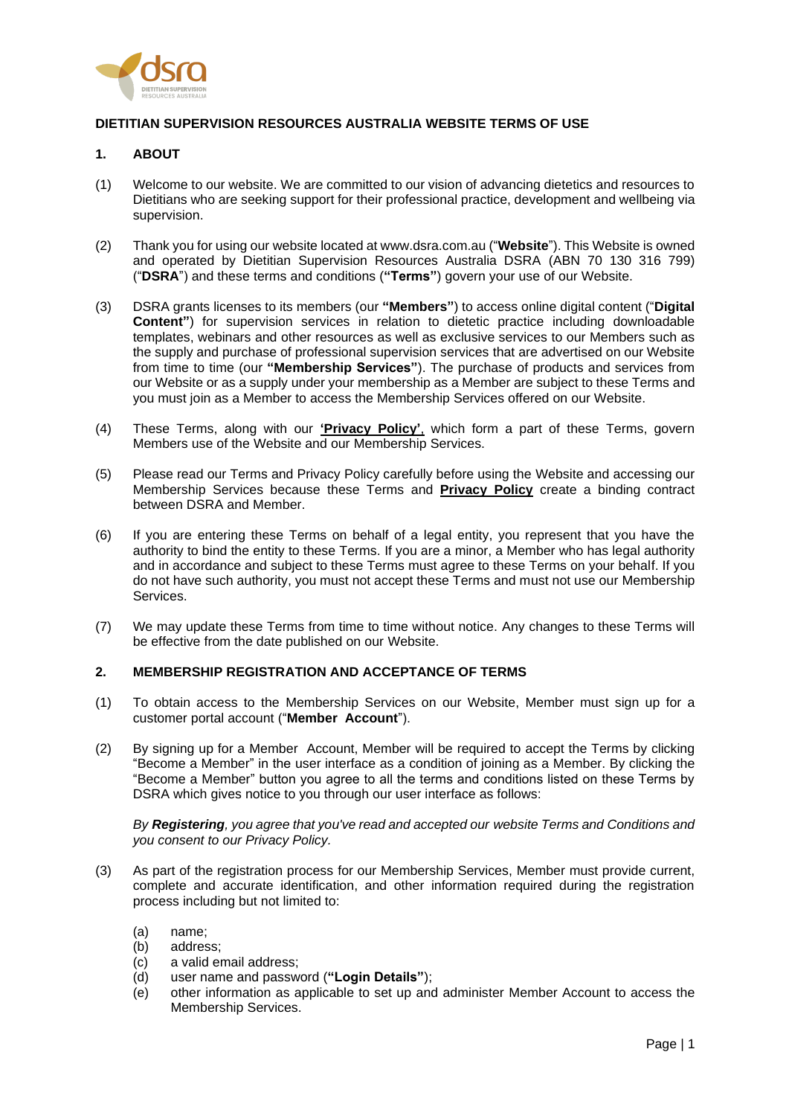

## **DIETITIAN SUPERVISION RESOURCES AUSTRALIA WEBSITE TERMS OF USE**

### **1. ABOUT**

- (1) Welcome to our website. We are committed to our vision of advancing dietetics and resources to Dietitians who are seeking support for their professional practice, development and wellbeing via supervision.
- (2) Thank you for using our website located at www.dsra.com.au ("**Website**"). This Website is owned and operated by Dietitian Supervision Resources Australia DSRA (ABN 70 130 316 799) ("**DSRA**") and these terms and conditions (**"Terms"**) govern your use of our Website.
- (3) DSRA grants licenses to its members (our **"Members"**) to access online digital content ("**Digital Content"**) for supervision services in relation to dietetic practice including downloadable templates, webinars and other resources as well as exclusive services to our Members such as the supply and purchase of professional supervision services that are advertised on our Website from time to time (our **"Membership Services"**). The purchase of products and services from our Website or as a supply under your membership as a Member are subject to these Terms and you must join as a Member to access the Membership Services offered on our Website.
- (4) These Terms, along with our **'Privacy Policy'**, which form a part of these Terms, govern Members use of the Website and our Membership Services.
- (5) Please read our Terms and Privacy Policy carefully before using the Website and accessing our Membership Services because these Terms and **Privacy Policy** create a binding contract between DSRA and Member.
- (6) If you are entering these Terms on behalf of a legal entity, you represent that you have the authority to bind the entity to these Terms. If you are a minor, a Member who has legal authority and in accordance and subject to these Terms must agree to these Terms on your behalf. If you do not have such authority, you must not accept these Terms and must not use our Membership Services.
- (7) We may update these Terms from time to time without notice. Any changes to these Terms will be effective from the date published on our Website.

# **2. MEMBERSHIP REGISTRATION AND ACCEPTANCE OF TERMS**

- (1) To obtain access to the Membership Services on our Website, Member must sign up for a customer portal account ("**Member Account**").
- (2) By signing up for a Member Account, Member will be required to accept the Terms by clicking "Become a Member" in the user interface as a condition of joining as a Member. By clicking the "Become a Member" button you agree to all the terms and conditions listed on these Terms by DSRA which gives notice to you through our user interface as follows:

*By Registering, you agree that you've read and accepted our website Terms and Conditions and you consent to our Privacy Policy.*

- (3) As part of the registration process for our Membership Services, Member must provide current, complete and accurate identification, and other information required during the registration process including but not limited to:
	- (a) name;
	- (b) address;
	- (c) a valid email address;
	- (d) user name and password (**"Login Details"**);
	- (e) other information as applicable to set up and administer Member Account to access the Membership Services.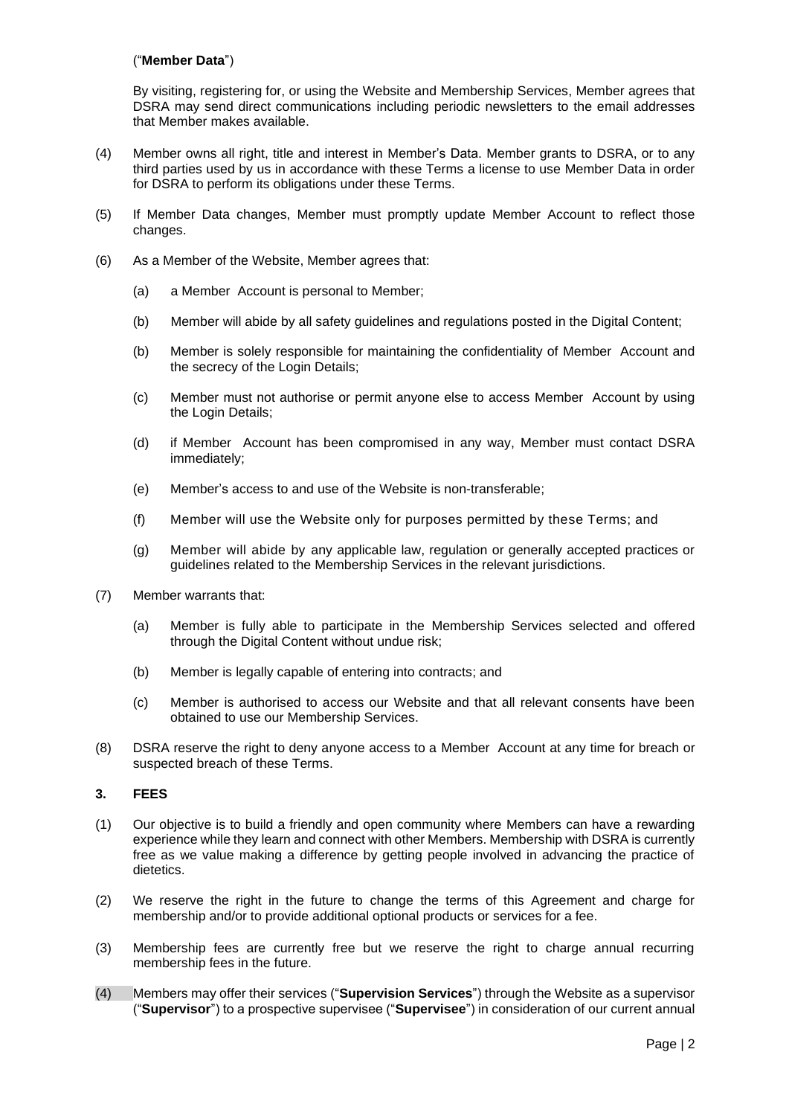### ("**Member Data**")

By visiting, registering for, or using the Website and Membership Services, Member agrees that DSRA may send direct communications including periodic newsletters to the email addresses that Member makes available.

- (4) Member owns all right, title and interest in Member's Data. Member grants to DSRA, or to any third parties used by us in accordance with these Terms a license to use Member Data in order for DSRA to perform its obligations under these Terms.
- (5) If Member Data changes, Member must promptly update Member Account to reflect those changes.
- (6) As a Member of the Website, Member agrees that:
	- (a) a Member Account is personal to Member;
	- (b) Member will abide by all safety guidelines and regulations posted in the Digital Content;
	- (b) Member is solely responsible for maintaining the confidentiality of Member Account and the secrecy of the Login Details;
	- (c) Member must not authorise or permit anyone else to access Member Account by using the Login Details;
	- (d) if Member Account has been compromised in any way, Member must contact DSRA immediately;
	- (e) Member's access to and use of the Website is non-transferable;
	- (f) Member will use the Website only for purposes permitted by these Terms; and
	- (g) Member will abide by any applicable law, regulation or generally accepted practices or guidelines related to the Membership Services in the relevant jurisdictions.
- (7) Member warrants that:
	- (a) Member is fully able to participate in the Membership Services selected and offered through the Digital Content without undue risk;
	- (b) Member is legally capable of entering into contracts; and
	- (c) Member is authorised to access our Website and that all relevant consents have been obtained to use our Membership Services.
- (8) DSRA reserve the right to deny anyone access to a Member Account at any time for breach or suspected breach of these Terms.

### **3. FEES**

- (1) Our objective is to build a friendly and open community where Members can have a rewarding experience while they learn and connect with other Members. Membership with DSRA is currently free as we value making a difference by getting people involved in advancing the practice of dietetics.
- (2) We reserve the right in the future to change the terms of this Agreement and charge for membership and/or to provide additional optional products or services for a fee.
- (3) Membership fees are currently free but we reserve the right to charge annual recurring membership fees in the future.
- (4) Members may offer their services ("**Supervision Services**") through the Website as a supervisor ("**Supervisor**") to a prospective supervisee ("**Supervisee**") in consideration of our current annual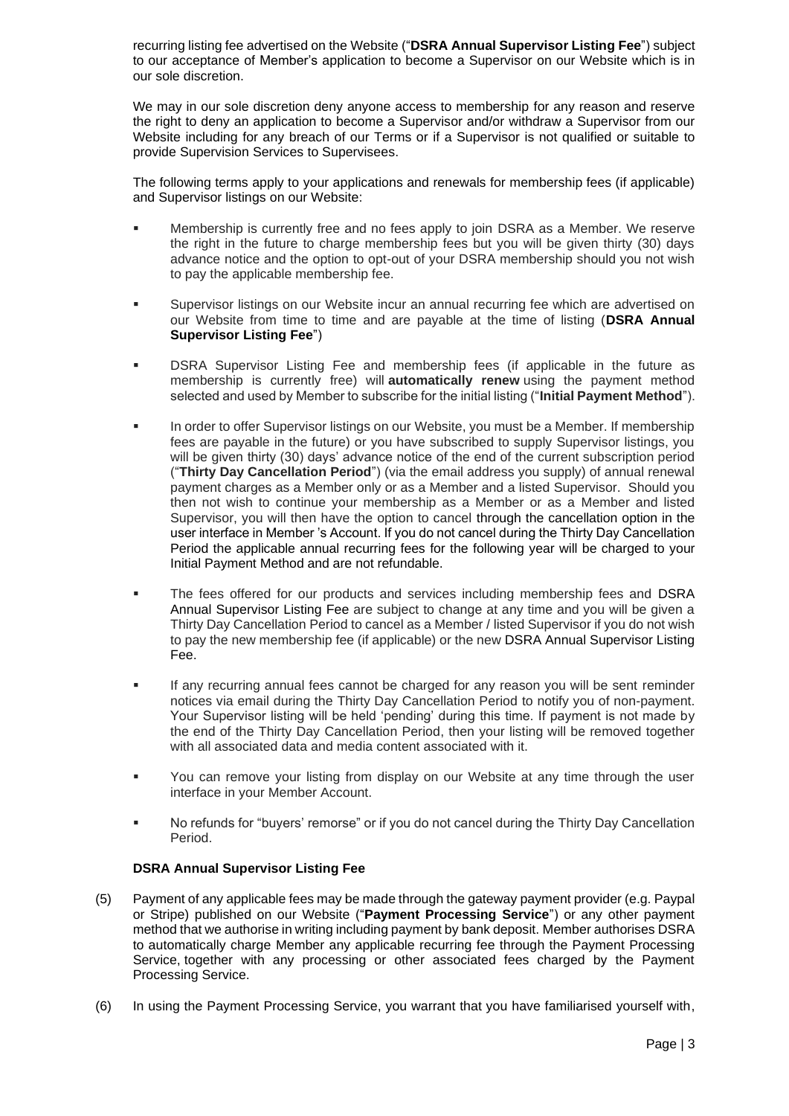recurring listing fee advertised on the Website ("**DSRA Annual Supervisor Listing Fee**") subject to our acceptance of Member's application to become a Supervisor on our Website which is in our sole discretion.

We may in our sole discretion deny anyone access to membership for any reason and reserve the right to deny an application to become a Supervisor and/or withdraw a Supervisor from our Website including for any breach of our Terms or if a Supervisor is not qualified or suitable to provide Supervision Services to Supervisees.

The following terms apply to your applications and renewals for membership fees (if applicable) and Supervisor listings on our Website:

- Membership is currently free and no fees apply to join DSRA as a Member. We reserve the right in the future to charge membership fees but you will be given thirty (30) days advance notice and the option to opt-out of your DSRA membership should you not wish to pay the applicable membership fee.
- Supervisor listings on our Website incur an annual recurring fee which are advertised on our Website from time to time and are payable at the time of listing (**DSRA Annual Supervisor Listing Fee**")
- DSRA Supervisor Listing Fee and membership fees (if applicable in the future as membership is currently free) will **automatically renew** using the payment method selected and used by Member to subscribe for the initial listing ("**Initial Payment Method**").
- **EXECT** In order to offer Supervisor listings on our Website, you must be a Member. If membership fees are payable in the future) or you have subscribed to supply Supervisor listings, you will be given thirty (30) days' advance notice of the end of the current subscription period ("**Thirty Day Cancellation Period**") (via the email address you supply) of annual renewal payment charges as a Member only or as a Member and a listed Supervisor. Should you then not wish to continue your membership as a Member or as a Member and listed Supervisor, you will then have the option to cancel through the cancellation option in the user interface in Member 's Account. If you do not cancel during the Thirty Day Cancellation Period the applicable annual recurring fees for the following year will be charged to your Initial Payment Method and are not refundable.
- The fees offered for our products and services including membership fees and DSRA Annual Supervisor Listing Fee are subject to change at any time and you will be given a Thirty Day Cancellation Period to cancel as a Member / listed Supervisor if you do not wish to pay the new membership fee (if applicable) or the new DSRA Annual Supervisor Listing Fee.
- If any recurring annual fees cannot be charged for any reason you will be sent reminder notices via email during the Thirty Day Cancellation Period to notify you of non-payment. Your Supervisor listing will be held 'pending' during this time. If payment is not made by the end of the Thirty Day Cancellation Period, then your listing will be removed together with all associated data and media content associated with it.
- You can remove your listing from display on our Website at any time through the user interface in your Member Account.
- No refunds for "buyers' remorse" or if you do not cancel during the Thirty Day Cancellation Period.

## **DSRA Annual Supervisor Listing Fee**

- (5) Payment of any applicable fees may be made through the gateway payment provider (e.g. Paypal or Stripe) published on our Website ("**Payment Processing Service**") or any other payment method that we authorise in writing including payment by bank deposit. Member authorises DSRA to automatically charge Member any applicable recurring fee through the Payment Processing Service, together with any processing or other associated fees charged by the Payment Processing Service.
- (6) In using the Payment Processing Service, you warrant that you have familiarised yourself with,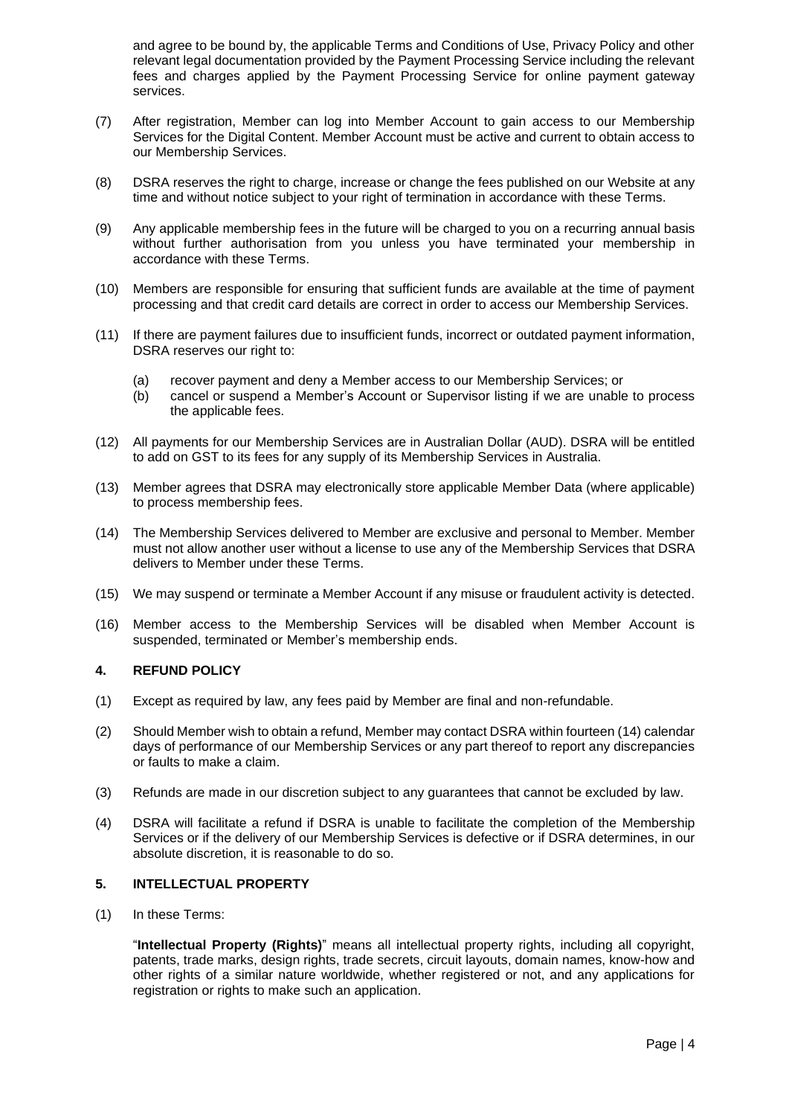and agree to be bound by, the applicable Terms and Conditions of Use, Privacy Policy and other relevant legal documentation provided by the Payment Processing Service including the relevant fees and charges applied by the Payment Processing Service for online payment gateway services.

- (7) After registration, Member can log into Member Account to gain access to our Membership Services for the Digital Content. Member Account must be active and current to obtain access to our Membership Services.
- (8) DSRA reserves the right to charge, increase or change the fees published on our Website at any time and without notice subject to your right of termination in accordance with these Terms.
- (9) Any applicable membership fees in the future will be charged to you on a recurring annual basis without further authorisation from you unless you have terminated your membership in accordance with these Terms.
- (10) Members are responsible for ensuring that sufficient funds are available at the time of payment processing and that credit card details are correct in order to access our Membership Services.
- (11) If there are payment failures due to insufficient funds, incorrect or outdated payment information, DSRA reserves our right to:
	- (a) recover payment and deny a Member access to our Membership Services; or
	- (b) cancel or suspend a Member's Account or Supervisor listing if we are unable to process the applicable fees.
- (12) All payments for our Membership Services are in Australian Dollar (AUD). DSRA will be entitled to add on GST to its fees for any supply of its Membership Services in Australia.
- (13) Member agrees that DSRA may electronically store applicable Member Data (where applicable) to process membership fees.
- (14) The Membership Services delivered to Member are exclusive and personal to Member. Member must not allow another user without a license to use any of the Membership Services that DSRA delivers to Member under these Terms.
- (15) We may suspend or terminate a Member Account if any misuse or fraudulent activity is detected.
- (16) Member access to the Membership Services will be disabled when Member Account is suspended, terminated or Member's membership ends.

## **4. REFUND POLICY**

- (1) Except as required by law, any fees paid by Member are final and non-refundable.
- (2) Should Member wish to obtain a refund, Member may contact DSRA within fourteen (14) calendar days of performance of our Membership Services or any part thereof to report any discrepancies or faults to make a claim.
- (3) Refunds are made in our discretion subject to any guarantees that cannot be excluded by law.
- (4) DSRA will facilitate a refund if DSRA is unable to facilitate the completion of the Membership Services or if the delivery of our Membership Services is defective or if DSRA determines, in our absolute discretion, it is reasonable to do so.

## **5. INTELLECTUAL PROPERTY**

(1) In these Terms:

"**Intellectual Property (Rights)**" means all intellectual property rights, including all copyright, patents, trade marks, design rights, trade secrets, circuit layouts, domain names, know-how and other rights of a similar nature worldwide, whether registered or not, and any applications for registration or rights to make such an application.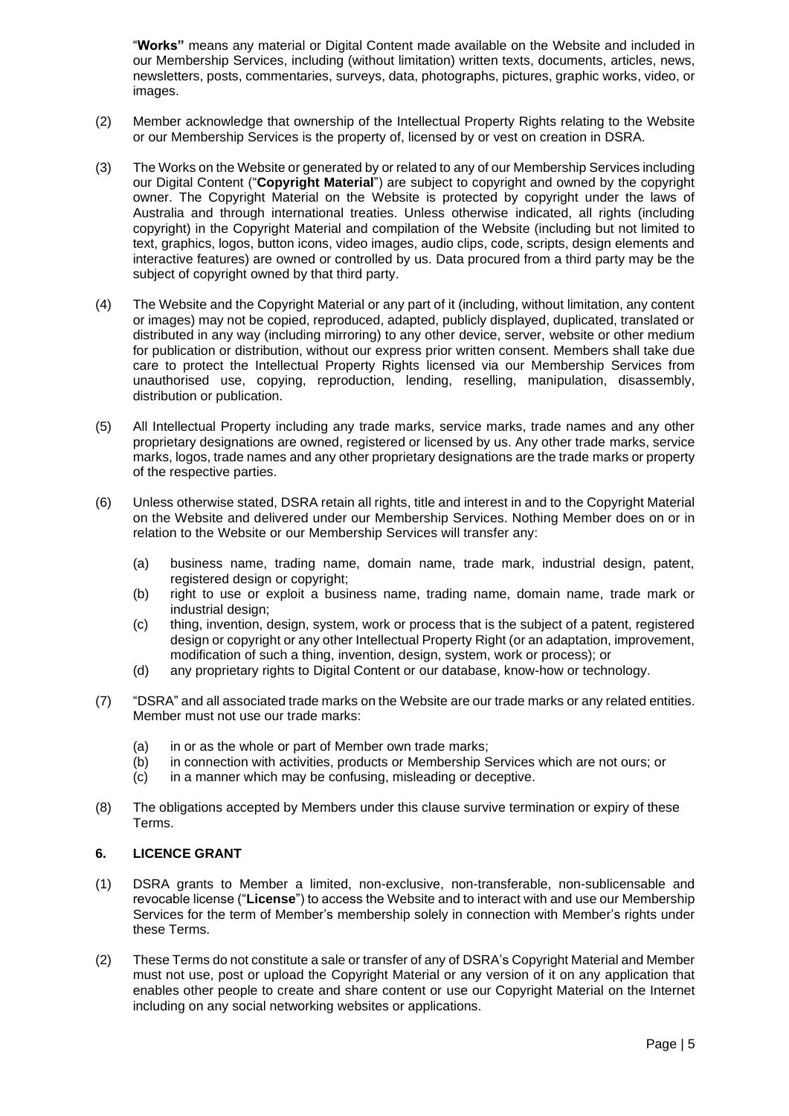"**Works"** means any material or Digital Content made available on the Website and included in our Membership Services, including (without limitation) written texts, documents, articles, news, newsletters, posts, commentaries, surveys, data, photographs, pictures, graphic works, video, or images.

- (2) Member acknowledge that ownership of the Intellectual Property Rights relating to the Website or our Membership Services is the property of, licensed by or vest on creation in DSRA.
- (3) The Works on the Website or generated by or related to any of our Membership Services including our Digital Content ("**Copyright Material**") are subject to copyright and owned by the copyright owner. The Copyright Material on the Website is protected by copyright under the laws of Australia and through international treaties. Unless otherwise indicated, all rights (including copyright) in the Copyright Material and compilation of the Website (including but not limited to text, graphics, logos, button icons, video images, audio clips, code, scripts, design elements and interactive features) are owned or controlled by us. Data procured from a third party may be the subject of copyright owned by that third party.
- (4) The Website and the Copyright Material or any part of it (including, without limitation, any content or images) may not be copied, reproduced, adapted, publicly displayed, duplicated, translated or distributed in any way (including mirroring) to any other device, server, website or other medium for publication or distribution, without our express prior written consent. Members shall take due care to protect the Intellectual Property Rights licensed via our Membership Services from unauthorised use, copying, reproduction, lending, reselling, manipulation, disassembly, distribution or publication.
- (5) All Intellectual Property including any trade marks, service marks, trade names and any other proprietary designations are owned, registered or licensed by us. Any other trade marks, service marks, logos, trade names and any other proprietary designations are the trade marks or property of the respective parties.
- (6) Unless otherwise stated, DSRA retain all rights, title and interest in and to the Copyright Material on the Website and delivered under our Membership Services. Nothing Member does on or in relation to the Website or our Membership Services will transfer any:
	- (a) business name, trading name, domain name, trade mark, industrial design, patent, registered design or copyright;
	- (b) right to use or exploit a business name, trading name, domain name, trade mark or industrial design;
	- (c) thing, invention, design, system, work or process that is the subject of a patent, registered design or copyright or any other Intellectual Property Right (or an adaptation, improvement, modification of such a thing, invention, design, system, work or process); or
	- (d) any proprietary rights to Digital Content or our database, know-how or technology.
- (7) "DSRA" and all associated trade marks on the Website are our trade marks or any related entities. Member must not use our trade marks:
	- (a) in or as the whole or part of Member own trade marks;
	- (b) in connection with activities, products or Membership Services which are not ours; or
	- (c) in a manner which may be confusing, misleading or deceptive.
- (8) The obligations accepted by Members under this clause survive termination or expiry of these Terms.

## **6. LICENCE GRANT**

- (1) DSRA grants to Member a limited, non-exclusive, non-transferable, non-sublicensable and revocable license ("**License**") to access the Website and to interact with and use our Membership Services for the term of Member's membership solely in connection with Member's rights under these Terms.
- (2) These Terms do not constitute a sale or transfer of any of DSRA's Copyright Material and Member must not use, post or upload the Copyright Material or any version of it on any application that enables other people to create and share content or use our Copyright Material on the Internet including on any social networking websites or applications.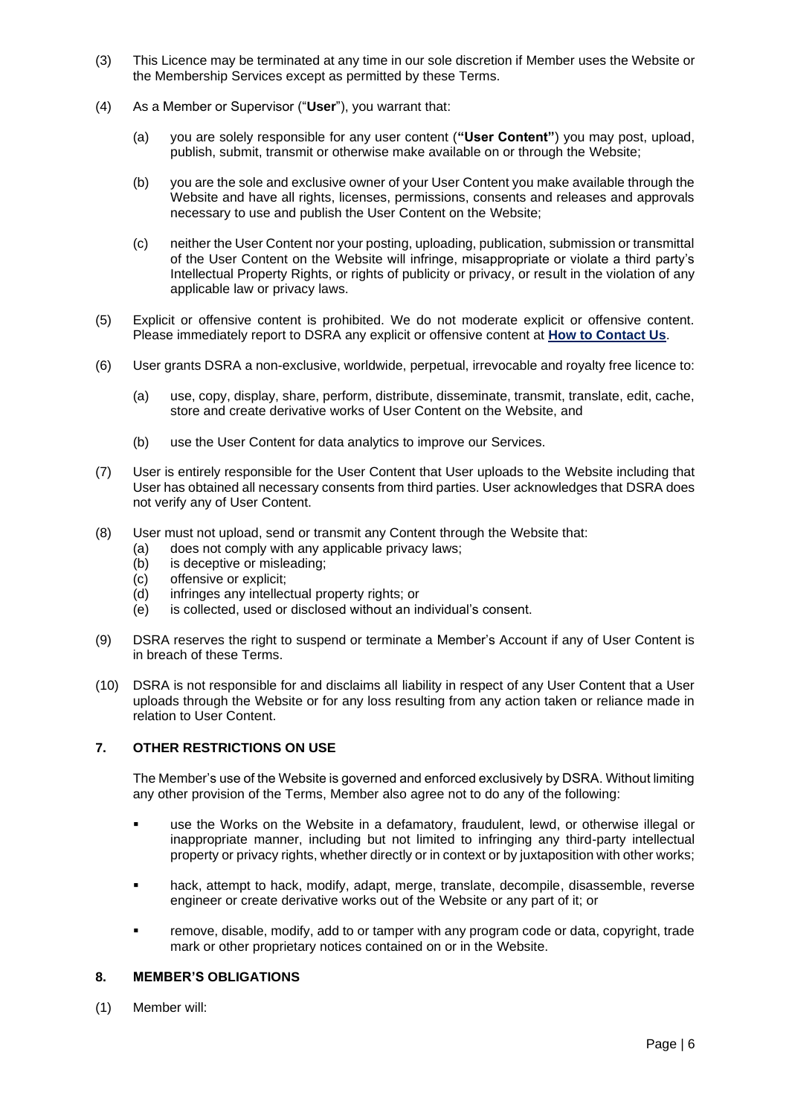- (3) This Licence may be terminated at any time in our sole discretion if Member uses the Website or the Membership Services except as permitted by these Terms.
- (4) As a Member or Supervisor ("**User**"), you warrant that:
	- (a) you are solely responsible for any user content (**"User Content"**) you may post, upload, publish, submit, transmit or otherwise make available on or through the Website;
	- (b) you are the sole and exclusive owner of your User Content you make available through the Website and have all rights, licenses, permissions, consents and releases and approvals necessary to use and publish the User Content on the Website;
	- (c) neither the User Content nor your posting, uploading, publication, submission or transmittal of the User Content on the Website will infringe, misappropriate or violate a third party's Intellectual Property Rights, or rights of publicity or privacy, or result in the violation of any applicable law or privacy laws.
- (5) Explicit or offensive content is prohibited. We do not moderate explicit or offensive content. Please immediately report to DSRA any explicit or offensive content at **How to Contact Us**.
- (6) User grants DSRA a non-exclusive, worldwide, perpetual, irrevocable and royalty free licence to:
	- (a) use, copy, display, share, perform, distribute, disseminate, transmit, translate, edit, cache, store and create derivative works of User Content on the Website, and
	- (b) use the User Content for data analytics to improve our Services.
- (7) User is entirely responsible for the User Content that User uploads to the Website including that User has obtained all necessary consents from third parties. User acknowledges that DSRA does not verify any of User Content.
- (8) User must not upload, send or transmit any Content through the Website that:
	- (a) does not comply with any applicable privacy laws;
	- (b) is deceptive or misleading;
	- (c) offensive or explicit;
	- (d) infringes any intellectual property rights; or
	- (e) is collected, used or disclosed without an individual's consent.
- (9) DSRA reserves the right to suspend or terminate a Member's Account if any of User Content is in breach of these Terms.
- (10) DSRA is not responsible for and disclaims all liability in respect of any User Content that a User uploads through the Website or for any loss resulting from any action taken or reliance made in relation to User Content.

## **7. OTHER RESTRICTIONS ON USE**

The Member's use of the Website is governed and enforced exclusively by DSRA. Without limiting any other provision of the Terms, Member also agree not to do any of the following:

- use the Works on the Website in a defamatory, fraudulent, lewd, or otherwise illegal or inappropriate manner, including but not limited to infringing any third-party intellectual property or privacy rights, whether directly or in context or by juxtaposition with other works;
- hack, attempt to hack, modify, adapt, merge, translate, decompile, disassemble, reverse engineer or create derivative works out of the Website or any part of it; or
- **•** remove, disable, modify, add to or tamper with any program code or data, copyright, trade mark or other proprietary notices contained on or in the Website.

## **8. MEMBER'S OBLIGATIONS**

(1) Member will: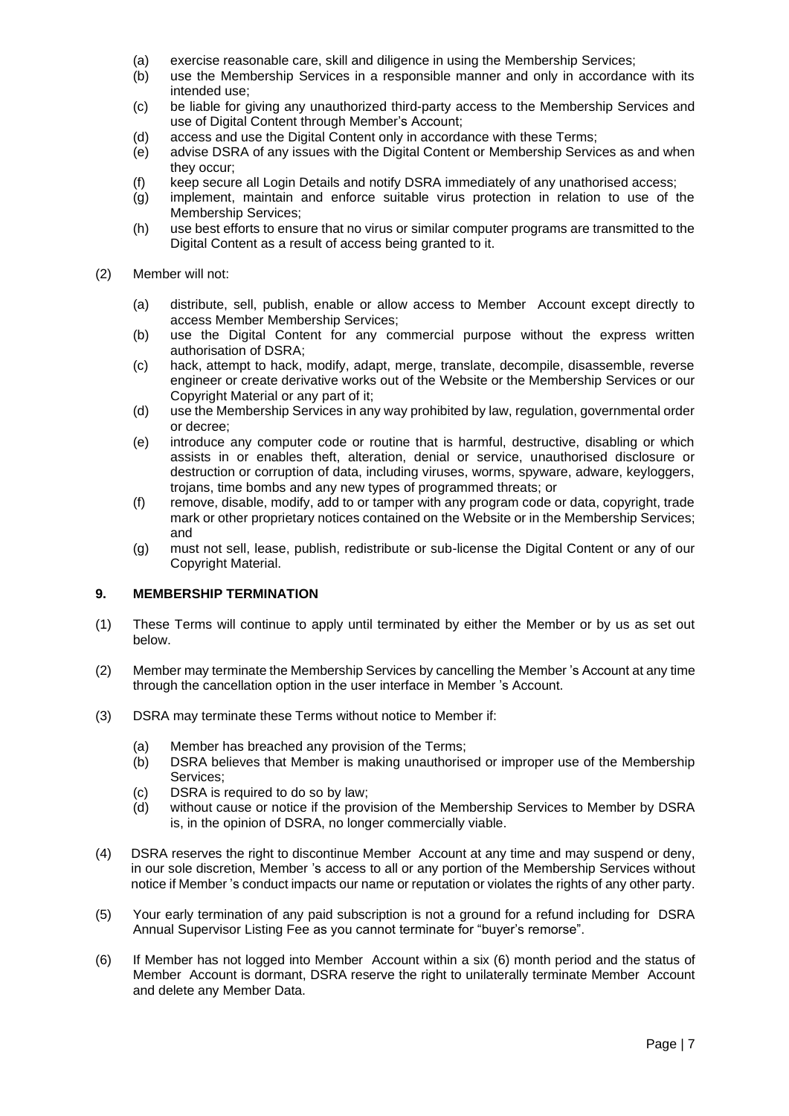- (a) exercise reasonable care, skill and diligence in using the Membership Services;
- (b) use the Membership Services in a responsible manner and only in accordance with its intended use;
- (c) be liable for giving any unauthorized third-party access to the Membership Services and use of Digital Content through Member's Account;
- (d) access and use the Digital Content only in accordance with these Terms;
- (e) advise DSRA of any issues with the Digital Content or Membership Services as and when they occur;
- (f) keep secure all Login Details and notify DSRA immediately of any unathorised access;
- (g) implement, maintain and enforce suitable virus protection in relation to use of the Membership Services;
- (h) use best efforts to ensure that no virus or similar computer programs are transmitted to the Digital Content as a result of access being granted to it.

### (2) Member will not:

- (a) distribute, sell, publish, enable or allow access to Member Account except directly to access Member Membership Services;
- (b) use the Digital Content for any commercial purpose without the express written authorisation of DSRA;
- (c) hack, attempt to hack, modify, adapt, merge, translate, decompile, disassemble, reverse engineer or create derivative works out of the Website or the Membership Services or our Copyright Material or any part of it;
- (d) use the Membership Services in any way prohibited by law, regulation, governmental order or decree;
- (e) introduce any computer code or routine that is harmful, destructive, disabling or which assists in or enables theft, alteration, denial or service, unauthorised disclosure or destruction or corruption of data, including viruses, worms, spyware, adware, keyloggers, trojans, time bombs and any new types of programmed threats; or
- (f) remove, disable, modify, add to or tamper with any program code or data, copyright, trade mark or other proprietary notices contained on the Website or in the Membership Services; and
- (g) must not sell, lease, publish, redistribute or sub-license the Digital Content or any of our Copyright Material.

## **9. MEMBERSHIP TERMINATION**

- (1) These Terms will continue to apply until terminated by either the Member or by us as set out below.
- (2) Member may terminate the Membership Services by cancelling the Member 's Account at any time through the cancellation option in the user interface in Member 's Account.
- (3) DSRA may terminate these Terms without notice to Member if:
	- (a) Member has breached any provision of the Terms;
	- (b) DSRA believes that Member is making unauthorised or improper use of the Membership Services;
	- (c) DSRA is required to do so by law;
	- (d) without cause or notice if the provision of the Membership Services to Member by DSRA is, in the opinion of DSRA, no longer commercially viable.
- (4) DSRA reserves the right to discontinue Member Account at any time and may suspend or deny, in our sole discretion, Member 's access to all or any portion of the Membership Services without notice if Member 's conduct impacts our name or reputation or violates the rights of any other party.
- (5) Your early termination of any paid subscription is not a ground for a refund including for DSRA Annual Supervisor Listing Fee as you cannot terminate for "buyer's remorse".
- (6) If Member has not logged into Member Account within a six (6) month period and the status of Member Account is dormant, DSRA reserve the right to unilaterally terminate Member Account and delete any Member Data.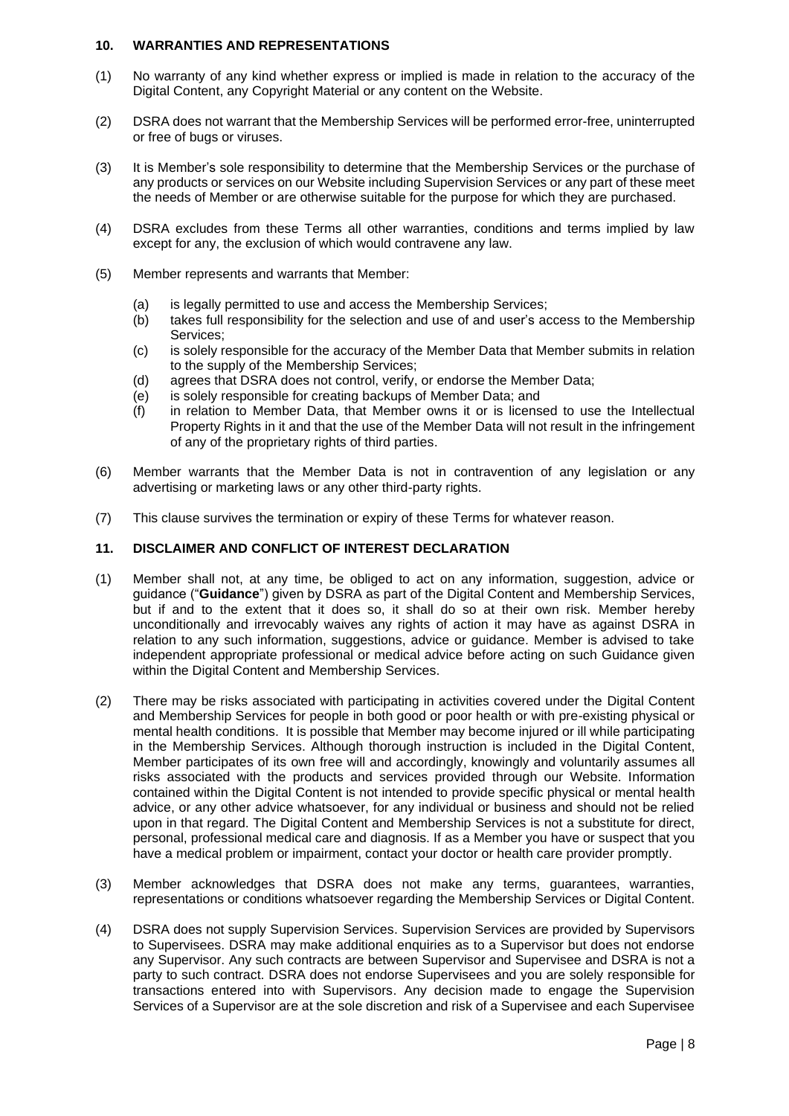### **10. WARRANTIES AND REPRESENTATIONS**

- (1) No warranty of any kind whether express or implied is made in relation to the accuracy of the Digital Content, any Copyright Material or any content on the Website.
- (2) DSRA does not warrant that the Membership Services will be performed error-free, uninterrupted or free of bugs or viruses.
- (3) It is Member's sole responsibility to determine that the Membership Services or the purchase of any products or services on our Website including Supervision Services or any part of these meet the needs of Member or are otherwise suitable for the purpose for which they are purchased.
- (4) DSRA excludes from these Terms all other warranties, conditions and terms implied by law except for any, the exclusion of which would contravene any law.
- (5) Member represents and warrants that Member:
	- (a) is legally permitted to use and access the Membership Services;
	- (b) takes full responsibility for the selection and use of and user's access to the Membership Services;
	- (c) is solely responsible for the accuracy of the Member Data that Member submits in relation to the supply of the Membership Services;
	- (d) agrees that DSRA does not control, verify, or endorse the Member Data;
	- (e) is solely responsible for creating backups of Member Data; and
	- (f) in relation to Member Data, that Member owns it or is licensed to use the Intellectual Property Rights in it and that the use of the Member Data will not result in the infringement of any of the proprietary rights of third parties.
- (6) Member warrants that the Member Data is not in contravention of any legislation or any advertising or marketing laws or any other third-party rights.
- (7) This clause survives the termination or expiry of these Terms for whatever reason.

### **11. DISCLAIMER AND CONFLICT OF INTEREST DECLARATION**

- (1) Member shall not, at any time, be obliged to act on any information, suggestion, advice or guidance ("**Guidance**") given by DSRA as part of the Digital Content and Membership Services, but if and to the extent that it does so, it shall do so at their own risk. Member hereby unconditionally and irrevocably waives any rights of action it may have as against DSRA in relation to any such information, suggestions, advice or guidance. Member is advised to take independent appropriate professional or medical advice before acting on such Guidance given within the Digital Content and Membership Services.
- (2) There may be risks associated with participating in activities covered under the Digital Content and Membership Services for people in both good or poor health or with pre-existing physical or mental health conditions. It is possible that Member may become injured or ill while participating in the Membership Services. Although thorough instruction is included in the Digital Content, Member participates of its own free will and accordingly, knowingly and voluntarily assumes all risks associated with the products and services provided through our Website. Information contained within the Digital Content is not intended to provide specific physical or mental health advice, or any other advice whatsoever, for any individual or business and should not be relied upon in that regard. The Digital Content and Membership Services is not a substitute for direct, personal, professional medical care and diagnosis. If as a Member you have or suspect that you have a medical problem or impairment, contact your doctor or health care provider promptly.
- (3) Member acknowledges that DSRA does not make any terms, guarantees, warranties, representations or conditions whatsoever regarding the Membership Services or Digital Content.
- (4) DSRA does not supply Supervision Services. Supervision Services are provided by Supervisors to Supervisees. DSRA may make additional enquiries as to a Supervisor but does not endorse any Supervisor. Any such contracts are between Supervisor and Supervisee and DSRA is not a party to such contract. DSRA does not endorse Supervisees and you are solely responsible for transactions entered into with Supervisors. Any decision made to engage the Supervision Services of a Supervisor are at the sole discretion and risk of a Supervisee and each Supervisee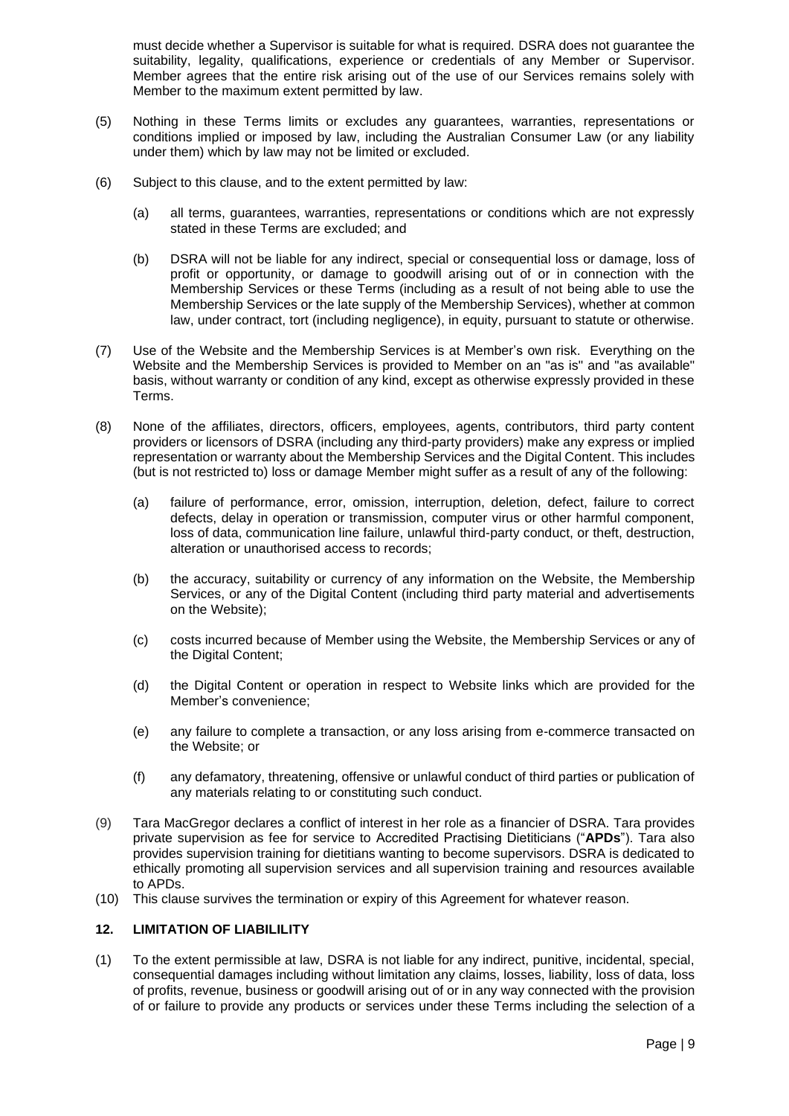must decide whether a Supervisor is suitable for what is required. DSRA does not guarantee the suitability, legality, qualifications, experience or credentials of any Member or Supervisor. Member agrees that the entire risk arising out of the use of our Services remains solely with Member to the maximum extent permitted by law.

- (5) Nothing in these Terms limits or excludes any guarantees, warranties, representations or conditions implied or imposed by law, including the Australian Consumer Law (or any liability under them) which by law may not be limited or excluded.
- (6) Subject to this clause, and to the extent permitted by law:
	- (a) all terms, guarantees, warranties, representations or conditions which are not expressly stated in these Terms are excluded; and
	- (b) DSRA will not be liable for any indirect, special or consequential loss or damage, loss of profit or opportunity, or damage to goodwill arising out of or in connection with the Membership Services or these Terms (including as a result of not being able to use the Membership Services or the late supply of the Membership Services), whether at common law, under contract, tort (including negligence), in equity, pursuant to statute or otherwise.
- (7) Use of the Website and the Membership Services is at Member's own risk. Everything on the Website and the Membership Services is provided to Member on an "as is" and "as available" basis, without warranty or condition of any kind, except as otherwise expressly provided in these Terms.
- (8) None of the affiliates, directors, officers, employees, agents, contributors, third party content providers or licensors of DSRA (including any third-party providers) make any express or implied representation or warranty about the Membership Services and the Digital Content. This includes (but is not restricted to) loss or damage Member might suffer as a result of any of the following:
	- (a) failure of performance, error, omission, interruption, deletion, defect, failure to correct defects, delay in operation or transmission, computer virus or other harmful component, loss of data, communication line failure, unlawful third-party conduct, or theft, destruction, alteration or unauthorised access to records;
	- (b) the accuracy, suitability or currency of any information on the Website, the Membership Services, or any of the Digital Content (including third party material and advertisements on the Website);
	- (c) costs incurred because of Member using the Website, the Membership Services or any of the Digital Content;
	- (d) the Digital Content or operation in respect to Website links which are provided for the Member's convenience;
	- (e) any failure to complete a transaction, or any loss arising from e-commerce transacted on the Website; or
	- (f) any defamatory, threatening, offensive or unlawful conduct of third parties or publication of any materials relating to or constituting such conduct.
- (9) Tara MacGregor declares a conflict of interest in her role as a financier of DSRA. Tara provides private supervision as fee for service to Accredited Practising Dietiticians ("**APDs**"). Tara also provides supervision training for dietitians wanting to become supervisors. DSRA is dedicated to ethically promoting all supervision services and all supervision training and resources available to APDs.
- (10) This clause survives the termination or expiry of this Agreement for whatever reason.

## **12. LIMITATION OF LIABILILITY**

(1) To the extent permissible at law, DSRA is not liable for any indirect, punitive, incidental, special, consequential damages including without limitation any claims, losses, liability, loss of data, loss of profits, revenue, business or goodwill arising out of or in any way connected with the provision of or failure to provide any products or services under these Terms including the selection of a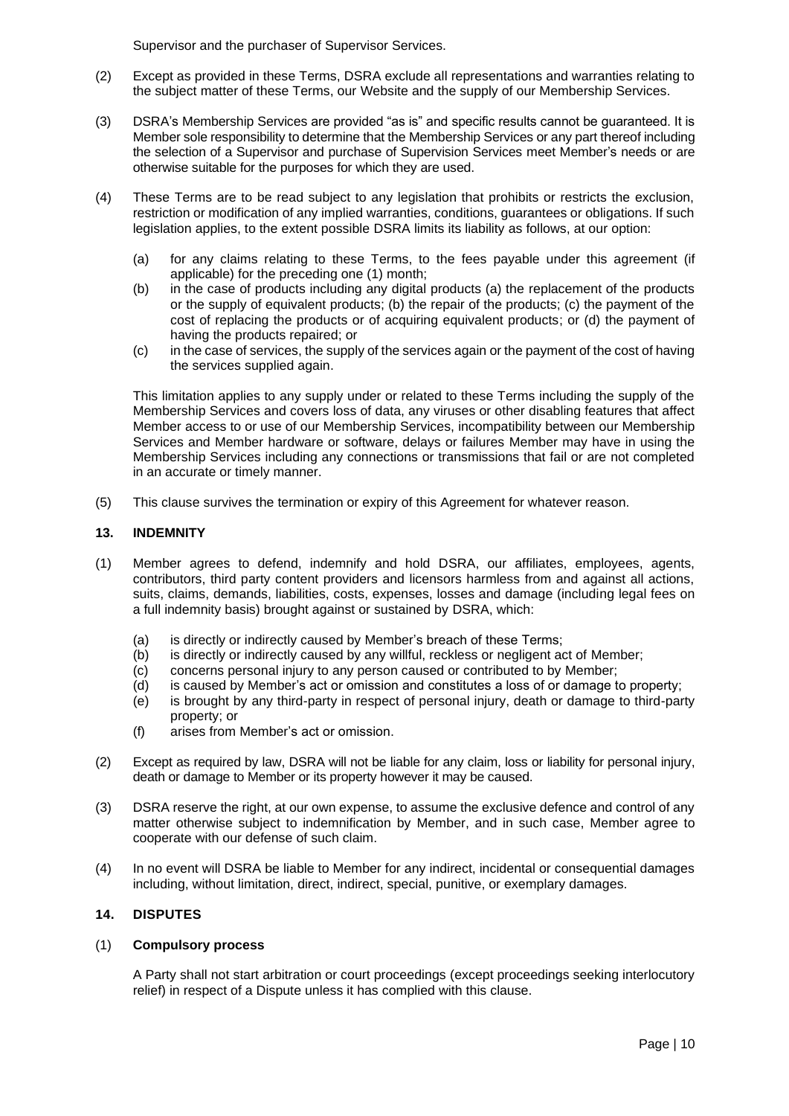Supervisor and the purchaser of Supervisor Services.

- (2) Except as provided in these Terms, DSRA exclude all representations and warranties relating to the subject matter of these Terms, our Website and the supply of our Membership Services.
- (3) DSRA's Membership Services are provided "as is" and specific results cannot be guaranteed. It is Member sole responsibility to determine that the Membership Services or any part thereof including the selection of a Supervisor and purchase of Supervision Services meet Member's needs or are otherwise suitable for the purposes for which they are used.
- (4) These Terms are to be read subject to any legislation that prohibits or restricts the exclusion, restriction or modification of any implied warranties, conditions, guarantees or obligations. If such legislation applies, to the extent possible DSRA limits its liability as follows, at our option:
	- (a) for any claims relating to these Terms, to the fees payable under this agreement (if applicable) for the preceding one (1) month;
	- (b) in the case of products including any digital products (a) the replacement of the products or the supply of equivalent products; (b) the repair of the products; (c) the payment of the cost of replacing the products or of acquiring equivalent products; or (d) the payment of having the products repaired; or
	- (c) in the case of services, the supply of the services again or the payment of the cost of having the services supplied again.

This limitation applies to any supply under or related to these Terms including the supply of the Membership Services and covers loss of data, any viruses or other disabling features that affect Member access to or use of our Membership Services, incompatibility between our Membership Services and Member hardware or software, delays or failures Member may have in using the Membership Services including any connections or transmissions that fail or are not completed in an accurate or timely manner.

(5) This clause survives the termination or expiry of this Agreement for whatever reason.

### **13. INDEMNITY**

- (1) Member agrees to defend, indemnify and hold DSRA, our affiliates, employees, agents, contributors, third party content providers and licensors harmless from and against all actions, suits, claims, demands, liabilities, costs, expenses, losses and damage (including legal fees on a full indemnity basis) brought against or sustained by DSRA, which:
	- (a) is directly or indirectly caused by Member's breach of these Terms;
	- (b) is directly or indirectly caused by any willful, reckless or negligent act of Member;
	- (c) concerns personal injury to any person caused or contributed to by Member;
	- (d) is caused by Member's act or omission and constitutes a loss of or damage to property;
	- (e) is brought by any third-party in respect of personal injury, death or damage to third-party property; or
	- (f) arises from Member's act or omission.
- (2) Except as required by law, DSRA will not be liable for any claim, loss or liability for personal injury, death or damage to Member or its property however it may be caused.
- (3) DSRA reserve the right, at our own expense, to assume the exclusive defence and control of any matter otherwise subject to indemnification by Member, and in such case, Member agree to cooperate with our defense of such claim.
- (4) In no event will DSRA be liable to Member for any indirect, incidental or consequential damages including, without limitation, direct, indirect, special, punitive, or exemplary damages.

#### **14. DISPUTES**

#### (1) **Compulsory process**

A Party shall not start arbitration or court proceedings (except proceedings seeking interlocutory relief) in respect of a Dispute unless it has complied with this clause.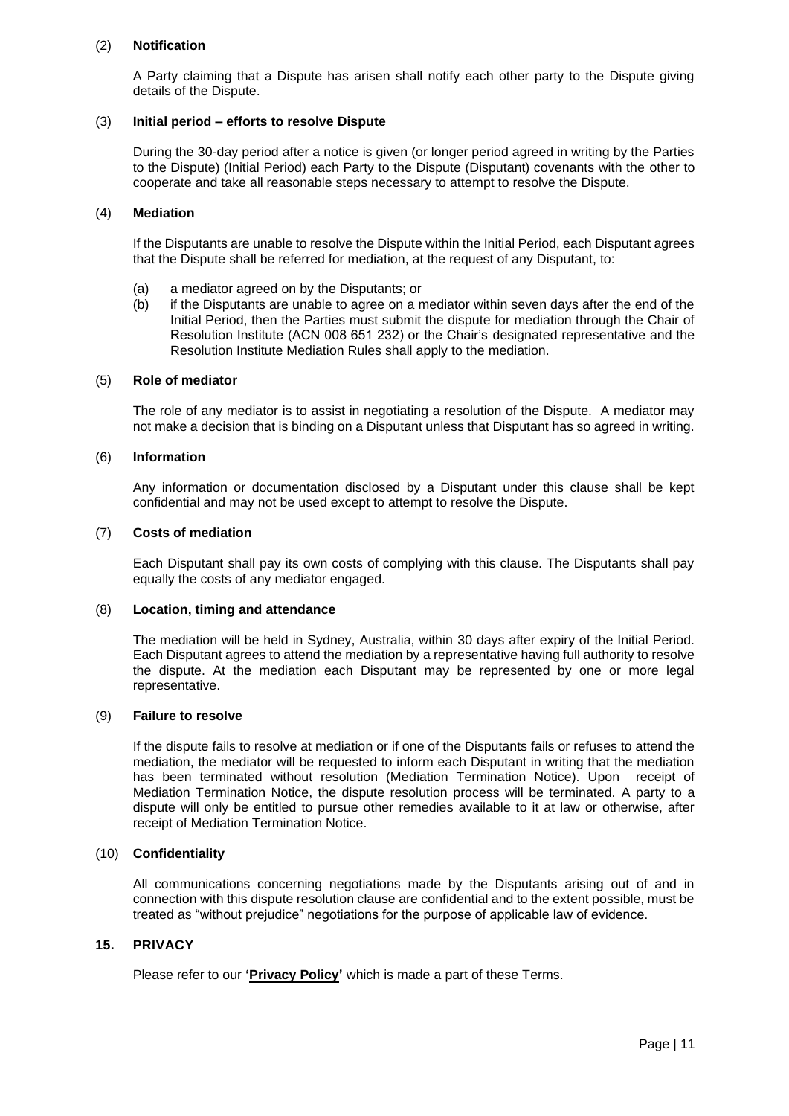### (2) **Notification**

A Party claiming that a Dispute has arisen shall notify each other party to the Dispute giving details of the Dispute.

### (3) **Initial period – efforts to resolve Dispute**

During the 30-day period after a notice is given (or longer period agreed in writing by the Parties to the Dispute) (Initial Period) each Party to the Dispute (Disputant) covenants with the other to cooperate and take all reasonable steps necessary to attempt to resolve the Dispute.

### (4) **Mediation**

If the Disputants are unable to resolve the Dispute within the Initial Period, each Disputant agrees that the Dispute shall be referred for mediation, at the request of any Disputant, to:

- (a) a mediator agreed on by the Disputants; or
- (b) if the Disputants are unable to agree on a mediator within seven days after the end of the Initial Period, then the Parties must submit the dispute for mediation through the Chair of Resolution Institute (ACN 008 651 232) or the Chair's designated representative and the Resolution Institute Mediation Rules shall apply to the mediation.

#### (5) **Role of mediator**

The role of any mediator is to assist in negotiating a resolution of the Dispute. A mediator may not make a decision that is binding on a Disputant unless that Disputant has so agreed in writing.

#### (6) **Information**

Any information or documentation disclosed by a Disputant under this clause shall be kept confidential and may not be used except to attempt to resolve the Dispute.

#### (7) **Costs of mediation**

Each Disputant shall pay its own costs of complying with this clause. The Disputants shall pay equally the costs of any mediator engaged.

#### (8) **Location, timing and attendance**

The mediation will be held in Sydney, Australia, within 30 days after expiry of the Initial Period. Each Disputant agrees to attend the mediation by a representative having full authority to resolve the dispute. At the mediation each Disputant may be represented by one or more legal representative.

#### (9) **Failure to resolve**

If the dispute fails to resolve at mediation or if one of the Disputants fails or refuses to attend the mediation, the mediator will be requested to inform each Disputant in writing that the mediation has been terminated without resolution (Mediation Termination Notice). Upon receipt of Mediation Termination Notice, the dispute resolution process will be terminated. A party to a dispute will only be entitled to pursue other remedies available to it at law or otherwise, after receipt of Mediation Termination Notice.

#### (10) **Confidentiality**

All communications concerning negotiations made by the Disputants arising out of and in connection with this dispute resolution clause are confidential and to the extent possible, must be treated as "without prejudice" negotiations for the purpose of applicable law of evidence.

#### **15. PRIVACY**

Please refer to our **'Privacy Policy'** which is made a part of these Terms.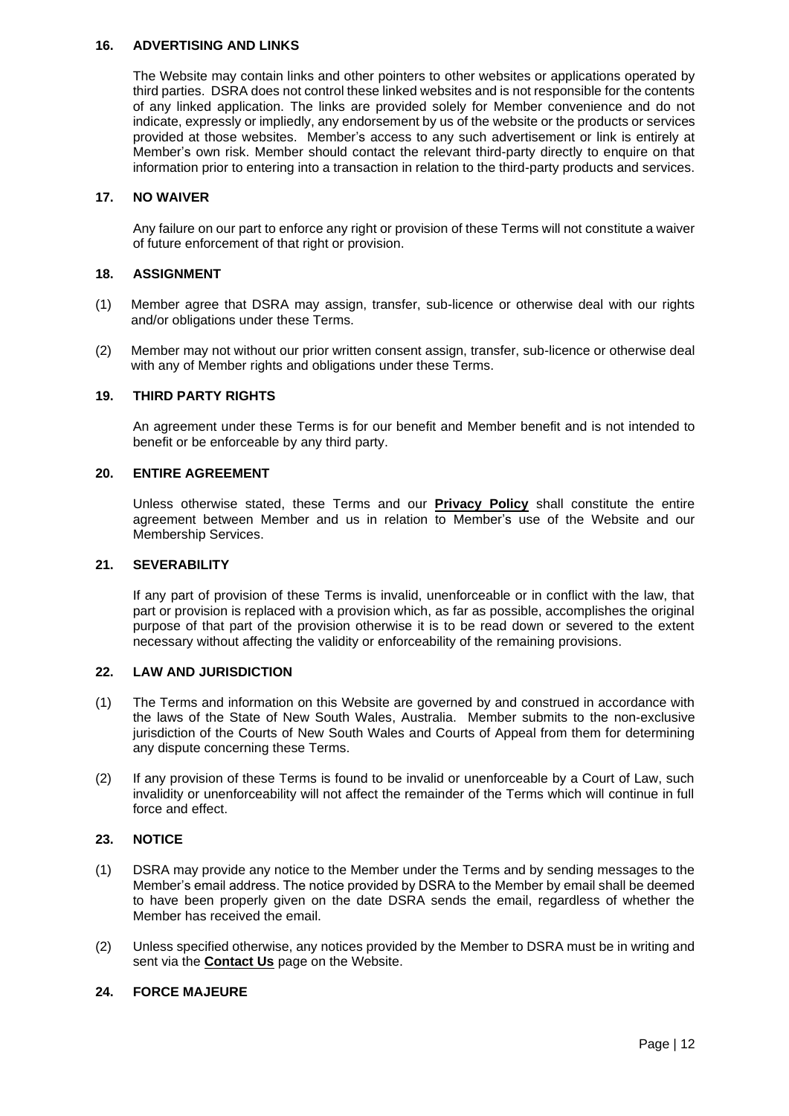### **16. ADVERTISING AND LINKS**

The Website may contain links and other pointers to other websites or applications operated by third parties. DSRA does not control these linked websites and is not responsible for the contents of any linked application. The links are provided solely for Member convenience and do not indicate, expressly or impliedly, any endorsement by us of the website or the products or services provided at those websites. Member's access to any such advertisement or link is entirely at Member's own risk. Member should contact the relevant third-party directly to enquire on that information prior to entering into a transaction in relation to the third-party products and services.

### **17. NO WAIVER**

Any failure on our part to enforce any right or provision of these Terms will not constitute a waiver of future enforcement of that right or provision.

### **18. ASSIGNMENT**

- (1) Member agree that DSRA may assign, transfer, sub-licence or otherwise deal with our rights and/or obligations under these Terms.
- (2) Member may not without our prior written consent assign, transfer, sub-licence or otherwise deal with any of Member rights and obligations under these Terms.

### **19. THIRD PARTY RIGHTS**

An agreement under these Terms is for our benefit and Member benefit and is not intended to benefit or be enforceable by any third party.

### **20. ENTIRE AGREEMENT**

Unless otherwise stated, these Terms and our **Privacy Policy** shall constitute the entire agreement between Member and us in relation to Member's use of the Website and our Membership Services.

#### **21. SEVERABILITY**

If any part of provision of these Terms is invalid, unenforceable or in conflict with the law, that part or provision is replaced with a provision which, as far as possible, accomplishes the original purpose of that part of the provision otherwise it is to be read down or severed to the extent necessary without affecting the validity or enforceability of the remaining provisions.

## **22. LAW AND JURISDICTION**

- (1) The Terms and information on this Website are governed by and construed in accordance with the laws of the State of New South Wales, Australia. Member submits to the non-exclusive jurisdiction of the Courts of New South Wales and Courts of Appeal from them for determining any dispute concerning these Terms.
- (2) If any provision of these Terms is found to be invalid or unenforceable by a Court of Law, such invalidity or unenforceability will not affect the remainder of the Terms which will continue in full force and effect.

## **23. NOTICE**

- (1) DSRA may provide any notice to the Member under the Terms and by sending messages to the Member's email address. The notice provided by DSRA to the Member by email shall be deemed to have been properly given on the date DSRA sends the email, regardless of whether the Member has received the email.
- (2) Unless specified otherwise, any notices provided by the Member to DSRA must be in writing and sent via the **Contact Us** page on the Website.

## **24. FORCE MAJEURE**